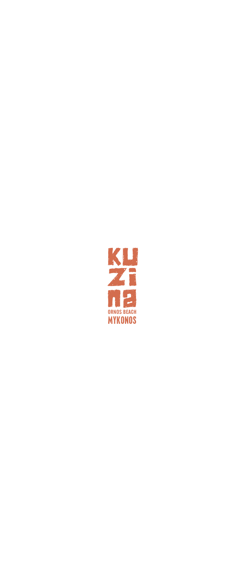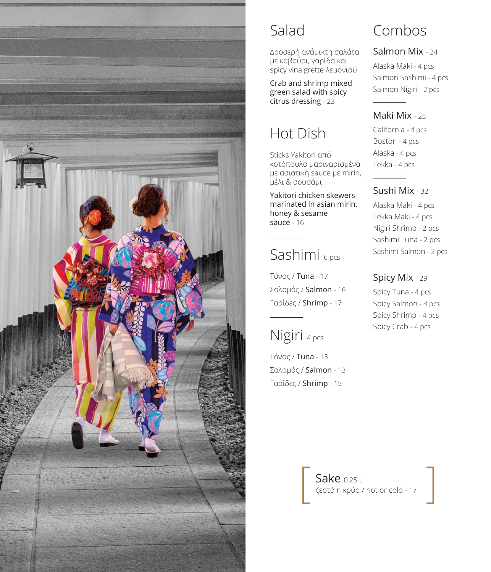

## Salad

Δροσερή ανάμικτη σαλάτα με καβούρι, γαρίδα και spicy vinaigrette λεμονιού

Crab and shrimp mixed green salad with spicy citrus dressing - 23

# Hot Dish

Sticks Yakitori από κοτόπουλο μαριναρισμένα με ασιατική sauce με mirin, μέλι & σουσάμι

Yakitori chicken skewers marinated in asian mirin, honey & sesame sauce - 16

## Sashimi 6 pcs

Τόνος / Tuna - 17 Σολομός / Salmon - 16 Γαρίδες / Shrimp - 17

## Nigiri 4 pcs

Τόνος / Tuna - 13 Σολομός / Salmon - 13 Γαρίδες / Shrimp - 15

## Combos

#### Salmon Mix - 24

Alaska Maki - 4 pcs Salmon Sashimi - 4 pcs Salmon Nigiri - 2 pcs

#### Maki Mix - 25

California - 4 pcs Boston - 4 pcs Alaska - 4 pcs Tekka - 4 pcs

#### Sushi Mix - 32

Alaska Maki - 4 pcs Tekka Maki - 4 pcs Nigiri Shrimp - 2 pcs Sashimi Tuna - 2 pcs Sashimi Salmon - 2 pcs

### Spicy Mix - 29

Spicy Tuna - 4 pcs Spicy Salmon - 4 pcs Spicy Shrimp - 4 pcs Spicy Crab - 4 pcs

**Sake 0.25 L** ζεστό ή κρύο / hot or cold - 17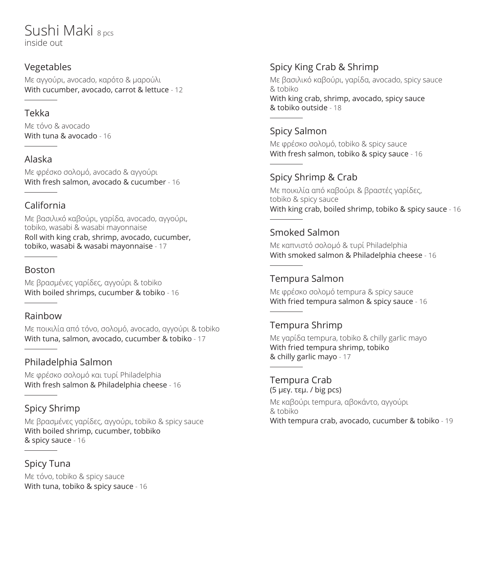## Sushi Maki 8 pcs inside out

#### Vegetables

Mε αγγούρι, avocado, καρότο & μαρούλι With cucumber, avocado, carrot & lettuce - 12

#### Tekka

Mε τόνο & avocado With tuna & avocado - 16

#### Alaska

Mε φρέσκο σολομό, avocado & αγγούρι With fresh salmon, avocado & cucumber - 16

### California

Mε βασιλικό καβούρι, γαρίδα, avocado, αγγούρι, tobiko, wasabi & wasabi mayonnaise Roll with king crab, shrimp, avocado, cucumber, tobiko, wasabi & wasabi mayonnaise - 17

#### Boston

Mε βρασμένες γαρίδες, αγγούρι & tobiko With boiled shrimps, cucumber & tobiko - 16

### Rainbow

Mε ποικιλία από τόνο, σολομό, avocado, αγγούρι & tobiko With tuna, salmon, avocado, cucumber & tobiko - 17

## Philadelphia Salmon

Με φρέσκο σολομό και τυρί Philadelphia With fresh salmon & Philadelphia cheese - 16

## Spicy Shrimp

Mε βρασμένες γαρίδες, αγγούρι, tobiko & spicy sauce With boiled shrimp, cucumber, tobbiko & spicy sauce - 16

Spicy Tuna Mε τόνο, tobiko & spicy sauce With tuna, tobiko & spicy sauce - 16

## Spicy King Crab & Shrimp

Mε βασιλικό καβούρι, γαρίδα, avocado, spicy sauce & tobiko With king crab, shrimp, avocado, spicy sauce & tobiko outside - 18

### Spicy Salmon

Mε φρέσκο σολομό, tobiko & spicy sauce With fresh salmon, tobiko & spicy sauce - 16

## Spicy Shrimp & Crab

Mε ποικιλία από καβούρι & βραστές γαρίδες, tobiko & spicy sauce With king crab, boiled shrimp, tobiko & spicy sauce - 16

## Smoked Salmon

Mε καπνιστό σολομό & τυρί Philadelphia With smoked salmon & Philadelphia cheese - 16

## Tempura Salmon

Mε φρέσκο σολομό tempura & spicy sauce With fried tempura salmon & spicy sauce - 16

### Tempura Shrimp

Mε γαρίδα tempura, tobiko & chilly garlic mayo With fried tempura shrimp, tobiko & chilly garlic mayo - 17

#### Tempura Crab (5 μεγ. τεμ. / big pcs) Mε καβούρι tempura, αβοκάντο, αγγούρι & tobiko With tempura crab, avocado, cucumber & tobiko - 19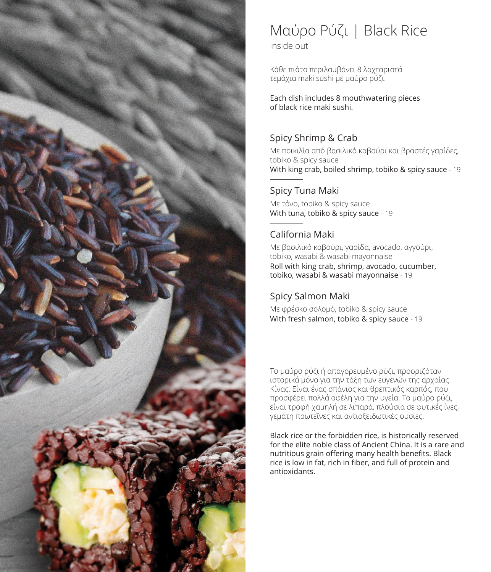

# Μαύρο Ρύζι | Black Rice

inside out

Κάθε πιάτο περιλαμβάνει 8 λαχταριστά τεμάχια maki sushi με μαύρο ρύζι.

Each dish includes 8 mouthwatering pieces of black rice maki sushi.

## Spicy Shrimp & Crab

Mε ποικιλία από βασιλικό καβούρι και βραστές γαρίδες, tobiko & spicy sauce With king crab, boiled shrimp, tobiko & spicy sauce - 19

### Spicy Tuna Maki

Mε τόνο, tobiko & spicy sauce With tuna, tobiko & spicy sauce - 19

## California Maki

Mε βασιλικό καβούρι, γαρίδα, avocado, αγγούρι, tobiko, wasabi & wasabi mayonnaise Roll with king crab, shrimp, avocado, cucumber, tobiko, wasabi & wasabi mayonnaise - 19

## Spicy Salmon Maki

Mε φρέσκο σολομό, tobiko & spicy sauce With fresh salmon, tobiko & spicy sauce - 19

Το μαύρο ρύζι ή απαγορευμένο ρύζι, προοριζόταν ιστορικά μόνο για την τάξη των ευγενών της αρχαίας Κίνας. Είναι ένας σπάνιος και θρεπτικός καρπός, που προσφέρει πολλά οφέλη για την υγεία. Το μαύρο ρύζι, είναι τροφή χαμηλή σε λιπαρά, πλούσια σε φυτικές ίνες, γεμάτη πρωτεΐνες και αντιοξειδωτικές ουσίες.

Black rice or the forbidden rice, is historically reserved for the elite noble class of Ancient China. It is a rare and nutritious grain offering many health benefits. Black rice is low in fat, rich in fiber, and full of protein and antioxidants.